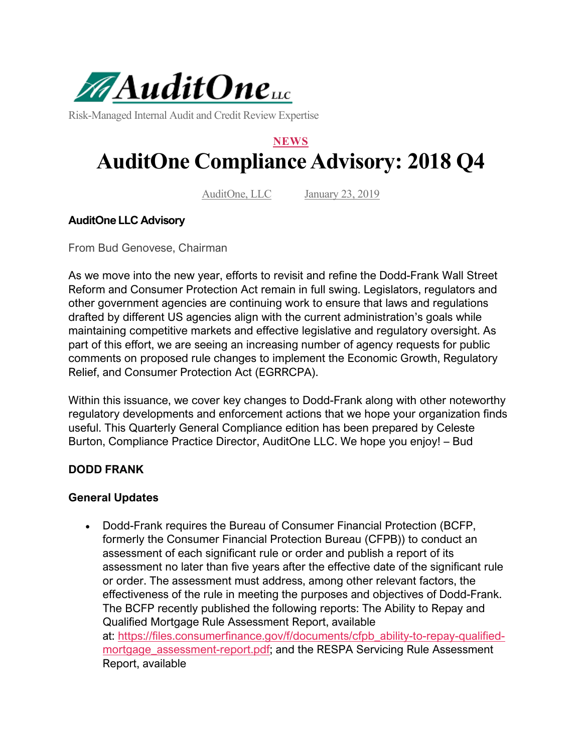

Risk-Managed Internal Audit and Credit Review Expertise

# **NEWS AuditOne Compliance Advisory: 2018 Q4**

AuditOne, LLC January 23, 2019

#### **AuditOne LLC Advisory**

From Bud Genovese, Chairman

As we move into the new year, efforts to revisit and refine the Dodd-Frank Wall Street Reform and Consumer Protection Act remain in full swing. Legislators, regulators and other government agencies are continuing work to ensure that laws and regulations drafted by different US agencies align with the current administration's goals while maintaining competitive markets and effective legislative and regulatory oversight. As part of this effort, we are seeing an increasing number of agency requests for public comments on proposed rule changes to implement the Economic Growth, Regulatory Relief, and Consumer Protection Act (EGRRCPA).

Within this issuance, we cover key changes to Dodd-Frank along with other noteworthy regulatory developments and enforcement actions that we hope your organization finds useful. This Quarterly General Compliance edition has been prepared by Celeste Burton, Compliance Practice Director, AuditOne LLC. We hope you enjoy! – Bud

# **DODD FRANK**

#### **General Updates**

• Dodd-Frank requires the Bureau of Consumer Financial Protection (BCFP, formerly the Consumer Financial Protection Bureau (CFPB)) to conduct an assessment of each significant rule or order and publish a report of its assessment no later than five years after the effective date of the significant rule or order. The assessment must address, among other relevant factors, the effectiveness of the rule in meeting the purposes and objectives of Dodd-Frank. The BCFP recently published the following reports: The Ability to Repay and Qualified Mortgage Rule Assessment Report, available at: [https://files.consumerfinance.gov/f/documents/cfpb\\_ability-to-repay-qualified](https://files.consumerfinance.gov/f/documents/cfpb_ability-to-repay-qualified-mortgage_assessment-report.pdf)mortgage assessment-report.pdf; and the RESPA Servicing Rule Assessment Report, available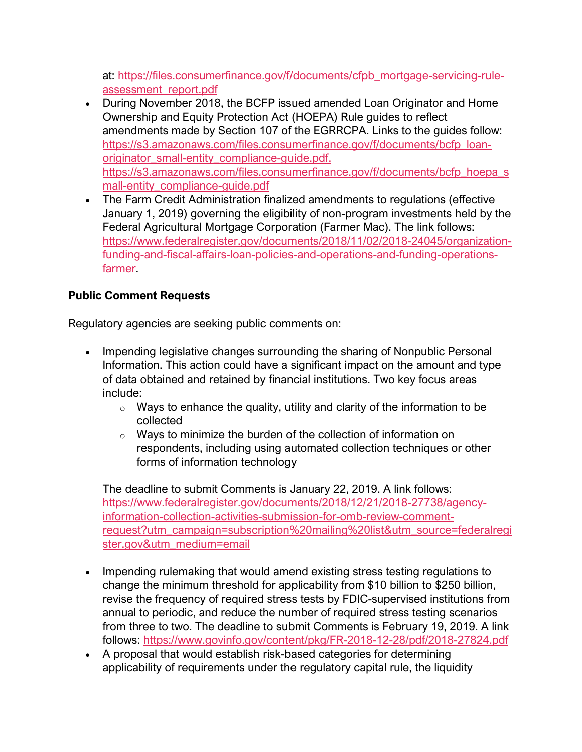at: [https://files.consumerfinance.gov/f/documents/cfpb\\_mortgage-servicing-rule](https://files.consumerfinance.gov/f/documents/cfpb_mortgage-servicing-rule-assessment_report.pdf)[assessment\\_report.pdf](https://files.consumerfinance.gov/f/documents/cfpb_mortgage-servicing-rule-assessment_report.pdf)

- During November 2018, the BCFP issued amended Loan Originator and Home Ownership and Equity Protection Act (HOEPA) Rule guides to reflect amendments made by Section 107 of the EGRRCPA. Links to the guides follow: [https://s3.amazonaws.com/files.consumerfinance.gov/f/documents/bcfp\\_loan](https://s3.amazonaws.com/files.consumerfinance.gov/f/documents/bcfp_loan-originator_small-entity_compliance-guide.pdf)[originator\\_small-entity\\_compliance-guide.pdf.](https://s3.amazonaws.com/files.consumerfinance.gov/f/documents/bcfp_loan-originator_small-entity_compliance-guide.pdf) [https://s3.amazonaws.com/files.consumerfinance.gov/f/documents/bcfp\\_hoepa\\_s](https://s3.amazonaws.com/files.consumerfinance.gov/f/documents/bcfp_hoepa_small-entity_compliance-guide.pdf) [mall-entity\\_compliance-guide.pdf](https://s3.amazonaws.com/files.consumerfinance.gov/f/documents/bcfp_hoepa_small-entity_compliance-guide.pdf)
- The Farm Credit Administration finalized amendments to regulations (effective January 1, 2019) governing the eligibility of non-program investments held by the Federal Agricultural Mortgage Corporation (Farmer Mac). The link follows: [https://www.federalregister.gov/documents/2018/11/02/2018-24045/organization](https://www.federalregister.gov/documents/2018/11/02/2018-24045/organization-funding-and-fiscal-affairs-loan-policies-and-operations-and-funding-operations-farmer)[funding-and-fiscal-affairs-loan-policies-and-operations-and-funding-operations](https://www.federalregister.gov/documents/2018/11/02/2018-24045/organization-funding-and-fiscal-affairs-loan-policies-and-operations-and-funding-operations-farmer)[farmer.](https://www.federalregister.gov/documents/2018/11/02/2018-24045/organization-funding-and-fiscal-affairs-loan-policies-and-operations-and-funding-operations-farmer)

# **Public Comment Requests**

Regulatory agencies are seeking public comments on:

- Impending legislative changes surrounding the sharing of Nonpublic Personal Information. This action could have a significant impact on the amount and type of data obtained and retained by financial institutions. Two key focus areas include:
	- $\circ$  Ways to enhance the quality, utility and clarity of the information to be collected
	- o Ways to minimize the burden of the collection of information on respondents, including using automated collection techniques or other forms of information technology

The deadline to submit Comments is January 22, 2019. A link follows: [https://www.federalregister.gov/documents/2018/12/21/2018-27738/agency](https://www.federalregister.gov/documents/2018/12/21/2018-27738/agency-information-collection-activities-submission-for-omb-review-comment-request?utm_campaign=subscription%20mailing%20list&utm_source=federalregister.gov&utm_medium=email)[information-collection-activities-submission-for-omb-review-comment](https://www.federalregister.gov/documents/2018/12/21/2018-27738/agency-information-collection-activities-submission-for-omb-review-comment-request?utm_campaign=subscription%20mailing%20list&utm_source=federalregister.gov&utm_medium=email)[request?utm\\_campaign=subscription%20mailing%20list&utm\\_source=federalregi](https://www.federalregister.gov/documents/2018/12/21/2018-27738/agency-information-collection-activities-submission-for-omb-review-comment-request?utm_campaign=subscription%20mailing%20list&utm_source=federalregister.gov&utm_medium=email) [ster.gov&utm\\_medium=email](https://www.federalregister.gov/documents/2018/12/21/2018-27738/agency-information-collection-activities-submission-for-omb-review-comment-request?utm_campaign=subscription%20mailing%20list&utm_source=federalregister.gov&utm_medium=email)

- Impending rulemaking that would amend existing stress testing regulations to change the minimum threshold for applicability from \$10 billion to \$250 billion, revise the frequency of required stress tests by FDIC-supervised institutions from annual to periodic, and reduce the number of required stress testing scenarios from three to two. The deadline to submit Comments is February 19, 2019. A link follows: <https://www.govinfo.gov/content/pkg/FR-2018-12-28/pdf/2018-27824.pdf>
- A proposal that would establish risk-based categories for determining applicability of requirements under the regulatory capital rule, the liquidity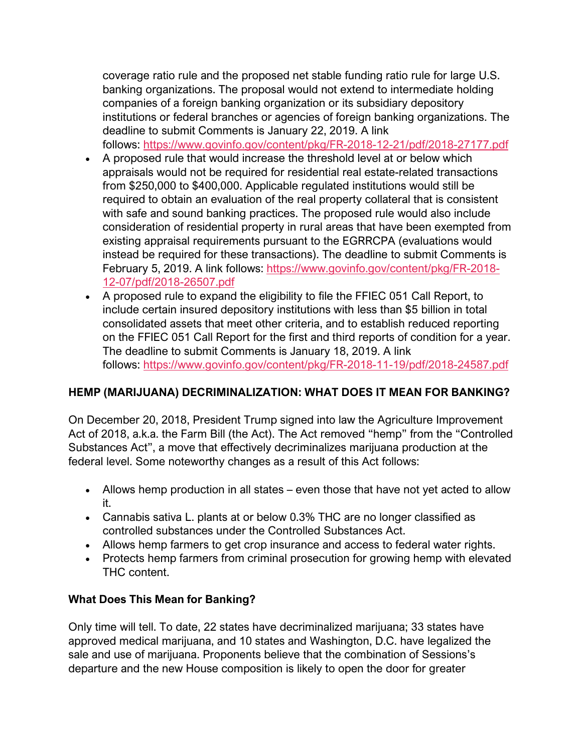coverage ratio rule and the proposed net stable funding ratio rule for large U.S. banking organizations. The proposal would not extend to intermediate holding companies of a foreign banking organization or its subsidiary depository institutions or federal branches or agencies of foreign banking organizations. The deadline to submit Comments is January 22, 2019. A link follows: <https://www.govinfo.gov/content/pkg/FR-2018-12-21/pdf/2018-27177.pdf>

- A proposed rule that would increase the threshold level at or below which appraisals would not be required for residential real estate-related transactions from \$250,000 to \$400,000. Applicable regulated institutions would still be required to obtain an evaluation of the real property collateral that is consistent with safe and sound banking practices. The proposed rule would also include consideration of residential property in rural areas that have been exempted from existing appraisal requirements pursuant to the EGRRCPA (evaluations would instead be required for these transactions). The deadline to submit Comments is February 5, 2019. A link follows: [https://www.govinfo.gov/content/pkg/FR-2018-](https://www.govinfo.gov/content/pkg/FR-2018-12-07/pdf/2018-26507.pdf) [12-07/pdf/2018-26507.pdf](https://www.govinfo.gov/content/pkg/FR-2018-12-07/pdf/2018-26507.pdf)
- A proposed rule to expand the eligibility to file the FFIEC 051 Call Report, to include certain insured depository institutions with less than \$5 billion in total consolidated assets that meet other criteria, and to establish reduced reporting on the FFIEC 051 Call Report for the first and third reports of condition for a year. The deadline to submit Comments is January 18, 2019. A link follows: <https://www.govinfo.gov/content/pkg/FR-2018-11-19/pdf/2018-24587.pdf>

# **HEMP (MARIJUANA) DECRIMINALIZATION: WHAT DOES IT MEAN FOR BANKING?**

On December 20, 2018, President Trump signed into law the Agriculture Improvement Act of 2018, a.k.a. the Farm Bill (the Act). The Act removed "hemp" from the "Controlled Substances Act", a move that effectively decriminalizes marijuana production at the federal level. Some noteworthy changes as a result of this Act follows:

- Allows hemp production in all states even those that have not yet acted to allow it.
- Cannabis sativa L. plants at or below 0.3% THC are no longer classified as controlled substances under the Controlled Substances Act.
- Allows hemp farmers to get crop insurance and access to federal water rights.
- Protects hemp farmers from criminal prosecution for growing hemp with elevated THC content.

# **What Does This Mean for Banking?**

Only time will tell. To date, 22 states have decriminalized marijuana; 33 states have approved medical marijuana, and 10 states and Washington, D.C. have legalized the sale and use of marijuana. Proponents believe that the combination of Sessions's departure and the new House composition is likely to open the door for greater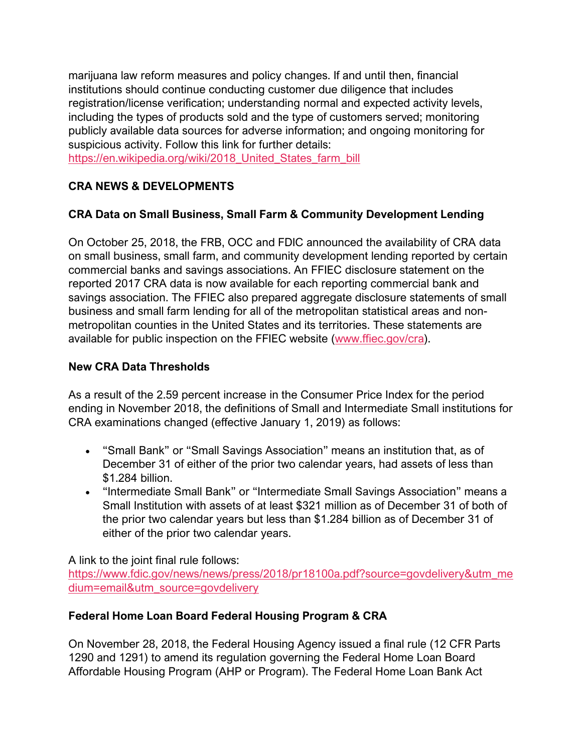marijuana law reform measures and policy changes. If and until then, financial institutions should continue conducting customer due diligence that includes registration/license verification; understanding normal and expected activity levels, including the types of products sold and the type of customers served; monitoring publicly available data sources for adverse information; and ongoing monitoring for suspicious activity. Follow this link for further details:

https://en.wikipedia.org/wiki/2018 United States farm\_bill

# **CRA NEWS & DEVELOPMENTS**

# **CRA Data on Small Business, Small Farm & Community Development Lending**

On October 25, 2018, the FRB, OCC and FDIC announced the availability of CRA data on small business, small farm, and community development lending reported by certain commercial banks and savings associations. An FFIEC disclosure statement on the reported 2017 CRA data is now available for each reporting commercial bank and savings association. The FFIEC also prepared aggregate disclosure statements of small business and small farm lending for all of the metropolitan statistical areas and nonmetropolitan counties in the United States and its territories. These statements are available for public inspection on the FFIEC website [\(www.ffiec.gov/cra\)](https://auditonellc2.wpengine.com/auditone-compliance-advisory-2018-q4/www.ffiec.gov/cra).

# **New CRA Data Thresholds**

As a result of the 2.59 percent increase in the Consumer Price Index for the period ending in November 2018, the definitions of Small and Intermediate Small institutions for CRA examinations changed (effective January 1, 2019) as follows:

- "Small Bank" or "Small Savings Association" means an institution that, as of December 31 of either of the prior two calendar years, had assets of less than \$1.284 billion.
- "Intermediate Small Bank" or "Intermediate Small Savings Association" means a Small Institution with assets of at least \$321 million as of December 31 of both of the prior two calendar years but less than \$1.284 billion as of December 31 of either of the prior two calendar years.

A link to the joint final rule follows:

[https://www.fdic.gov/news/news/press/2018/pr18100a.pdf?source=govdelivery&utm\\_me](https://www.fdic.gov/news/news/press/2018/pr18100a.pdf?source=govdelivery&utm_medium=email&utm_source=govdelivery) [dium=email&utm\\_source=govdelivery](https://www.fdic.gov/news/news/press/2018/pr18100a.pdf?source=govdelivery&utm_medium=email&utm_source=govdelivery)

# **Federal Home Loan Board Federal Housing Program & CRA**

On November 28, 2018, the Federal Housing Agency issued a final rule (12 CFR Parts 1290 and 1291) to amend its regulation governing the Federal Home Loan Board Affordable Housing Program (AHP or Program). The Federal Home Loan Bank Act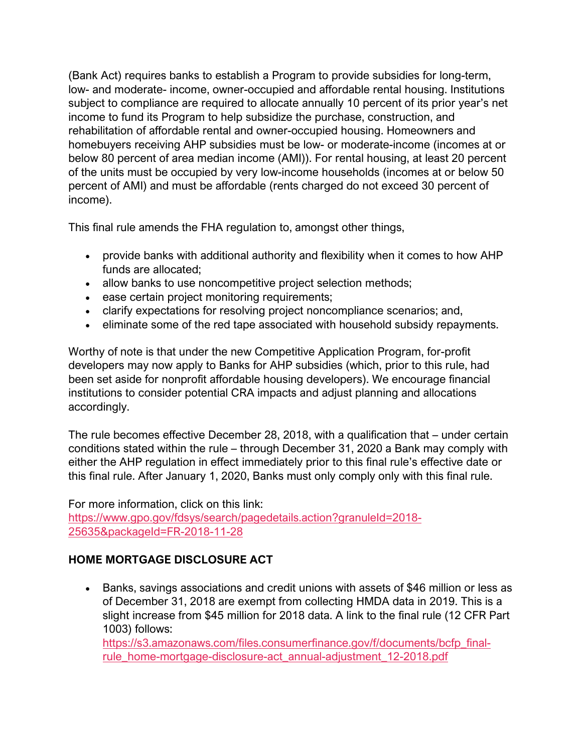(Bank Act) requires banks to establish a Program to provide subsidies for long-term, low- and moderate- income, owner-occupied and affordable rental housing. Institutions subject to compliance are required to allocate annually 10 percent of its prior year's net income to fund its Program to help subsidize the purchase, construction, and rehabilitation of affordable rental and owner-occupied housing. Homeowners and homebuyers receiving AHP subsidies must be low- or moderate-income (incomes at or below 80 percent of area median income (AMI)). For rental housing, at least 20 percent of the units must be occupied by very low-income households (incomes at or below 50 percent of AMI) and must be affordable (rents charged do not exceed 30 percent of income).

This final rule amends the FHA regulation to, amongst other things,

- provide banks with additional authority and flexibility when it comes to how AHP funds are allocated;
- allow banks to use noncompetitive project selection methods;
- ease certain project monitoring requirements;
- clarify expectations for resolving project noncompliance scenarios; and,
- eliminate some of the red tape associated with household subsidy repayments.

Worthy of note is that under the new Competitive Application Program, for-profit developers may now apply to Banks for AHP subsidies (which, prior to this rule, had been set aside for nonprofit affordable housing developers). We encourage financial institutions to consider potential CRA impacts and adjust planning and allocations accordingly.

The rule becomes effective December 28, 2018, with a qualification that – under certain conditions stated within the rule – through December 31, 2020 a Bank may comply with either the AHP regulation in effect immediately prior to this final rule's effective date or this final rule. After January 1, 2020, Banks must only comply only with this final rule.

For more information, click on this link: [https://www.gpo.gov/fdsys/search/pagedetails.action?granuleId=2018-](https://www.gpo.gov/fdsys/search/pagedetails.action?granuleId=2018-25635&packageId=FR-2018-11-28) [25635&packageId=FR-2018-11-28](https://www.gpo.gov/fdsys/search/pagedetails.action?granuleId=2018-25635&packageId=FR-2018-11-28)

# **HOME MORTGAGE DISCLOSURE ACT**

• Banks, savings associations and credit unions with assets of \$46 million or less as of December 31, 2018 are exempt from collecting HMDA data in 2019. This is a slight increase from \$45 million for 2018 data. A link to the final rule (12 CFR Part 1003) follows:

[https://s3.amazonaws.com/files.consumerfinance.gov/f/documents/bcfp\\_final](https://s3.amazonaws.com/files.consumerfinance.gov/f/documents/bcfp_final-rule_home-mortgage-disclosure-act_annual-adjustment_12-2018.pdf)[rule\\_home-mortgage-disclosure-act\\_annual-adjustment\\_12-2018.pdf](https://s3.amazonaws.com/files.consumerfinance.gov/f/documents/bcfp_final-rule_home-mortgage-disclosure-act_annual-adjustment_12-2018.pdf)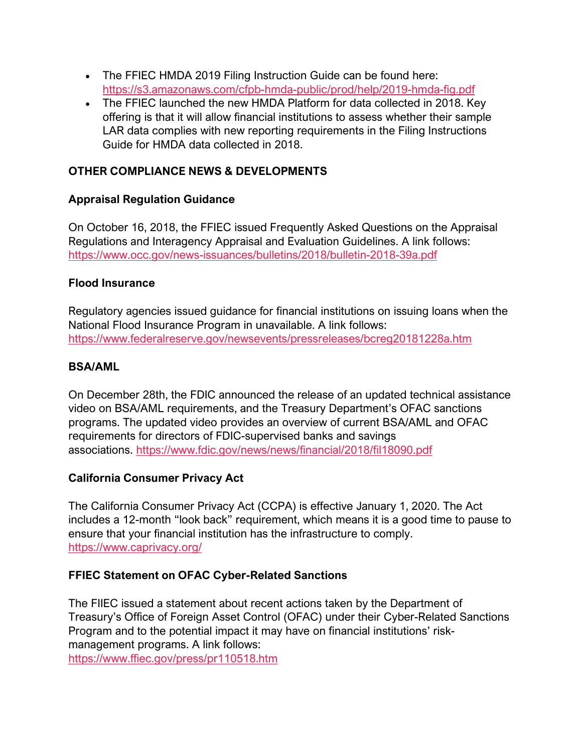- The FFIEC HMDA 2019 Filing Instruction Guide can be found here: <https://s3.amazonaws.com/cfpb-hmda-public/prod/help/2019-hmda-fig.pdf>
- The FFIEC launched the new HMDA Platform for data collected in 2018. Key offering is that it will allow financial institutions to assess whether their sample LAR data complies with new reporting requirements in the Filing Instructions Guide for HMDA data collected in 2018.

# **OTHER COMPLIANCE NEWS & DEVELOPMENTS**

# **Appraisal Regulation Guidance**

On October 16, 2018, the FFIEC issued Frequently Asked Questions on the Appraisal Regulations and Interagency Appraisal and Evaluation Guidelines. A link follows: <https://www.occ.gov/news-issuances/bulletins/2018/bulletin-2018-39a.pdf>

#### **Flood Insurance**

Regulatory agencies issued guidance for financial institutions on issuing loans when the National Flood Insurance Program in unavailable. A link follows: <https://www.federalreserve.gov/newsevents/pressreleases/bcreg20181228a.htm>

#### **BSA/AML**

On December 28th, the FDIC announced the release of an updated technical assistance video on BSA/AML requirements, and the Treasury Department's OFAC sanctions programs. The updated video provides an overview of current BSA/AML and OFAC requirements for directors of FDIC-supervised banks and savings associations. <https://www.fdic.gov/news/news/financial/2018/fil18090.pdf>

# **California Consumer Privacy Act**

The California Consumer Privacy Act (CCPA) is effective January 1, 2020. The Act includes a 12-month "look back" requirement, which means it is a good time to pause to ensure that your financial institution has the infrastructure to comply. <https://www.caprivacy.org/>

# **FFIEC Statement on OFAC Cyber-Related Sanctions**

The FIIEC issued a statement about recent actions taken by the Department of Treasury's Office of Foreign Asset Control (OFAC) under their Cyber-Related Sanctions Program and to the potential impact it may have on financial institutions' riskmanagement programs. A link follows: <https://www.ffiec.gov/press/pr110518.htm>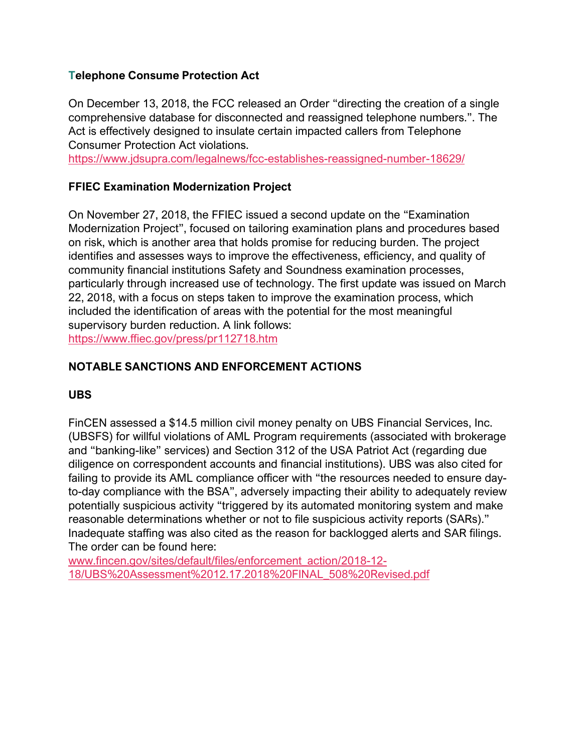## **Telephone Consume Protection Act**

On December 13, 2018, the FCC released an Order "directing the creation of a single comprehensive database for disconnected and reassigned telephone numbers.". The Act is effectively designed to insulate certain impacted callers from Telephone Consumer Protection Act violations.

<https://www.jdsupra.com/legalnews/fcc-establishes-reassigned-number-18629/>

# **FFIEC Examination Modernization Project**

On November 27, 2018, the FFIEC issued a second update on the "Examination Modernization Project", focused on tailoring examination plans and procedures based on risk, which is another area that holds promise for reducing burden. The project identifies and assesses ways to improve the effectiveness, efficiency, and quality of community financial institutions Safety and Soundness examination processes, particularly through increased use of technology. The first update was issued on March 22, 2018, with a focus on steps taken to improve the examination process, which included the identification of areas with the potential for the most meaningful supervisory burden reduction. A link follows: <https://www.ffiec.gov/press/pr112718.htm>

#### **NOTABLE SANCTIONS AND ENFORCEMENT ACTIONS**

#### **UBS**

FinCEN assessed a \$14.5 million civil money penalty on UBS Financial Services, Inc. (UBSFS) for willful violations of AML Program requirements (associated with brokerage and "banking-like" services) and Section 312 of the USA Patriot Act (regarding due diligence on correspondent accounts and financial institutions). UBS was also cited for failing to provide its AML compliance officer with "the resources needed to ensure dayto-day compliance with the BSA", adversely impacting their ability to adequately review potentially suspicious activity "triggered by its automated monitoring system and make reasonable determinations whether or not to file suspicious activity reports (SARs)." Inadequate staffing was also cited as the reason for backlogged alerts and SAR filings. The order can be found here:

[www.fincen.gov/sites/default/files/enforcement\\_action/2018-12-](https://auditonellc2.wpengine.com/auditone-compliance-advisory-2018-q4/www.fincen.gov/sites/default/files/enforcement_action/2018-12-18/UBS%20Assessment%2012.17.2018%20FINAL_508%20Revised.pdf) [18/UBS%20Assessment%2012.17.2018%20FINAL\\_508%20Revised.pdf](https://auditonellc2.wpengine.com/auditone-compliance-advisory-2018-q4/www.fincen.gov/sites/default/files/enforcement_action/2018-12-18/UBS%20Assessment%2012.17.2018%20FINAL_508%20Revised.pdf)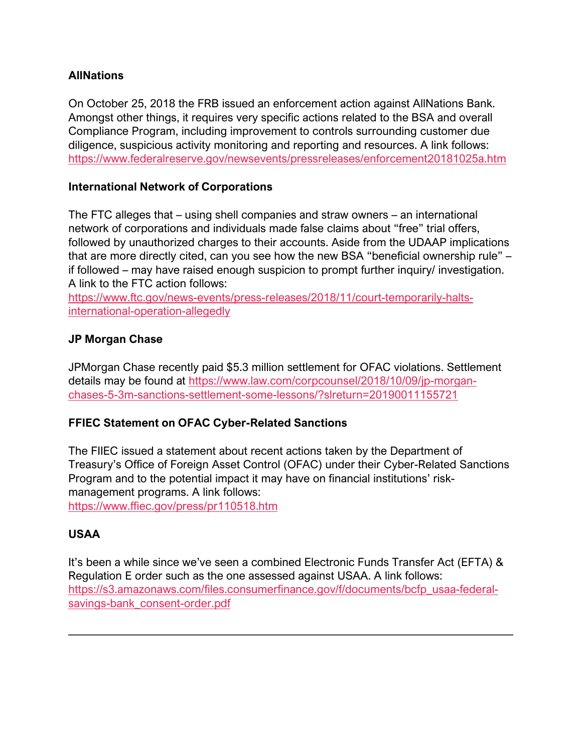# **AllNations**

On October 25, 2018 the FRB issued an enforcement action against AllNations Bank. Amongst other things, it requires very specific actions related to the BSA and overall Compliance Program, including improvement to controls surrounding customer due diligence, suspicious activity monitoring and reporting and resources. A link follows: <https://www.federalreserve.gov/newsevents/pressreleases/enforcement20181025a.htm>

#### **International Network of Corporations**

The FTC alleges that – using shell companies and straw owners – an international network of corporations and individuals made false claims about "free" trial offers, followed by unauthorized charges to their accounts. Aside from the UDAAP implications that are more directly cited, can you see how the new BSA "beneficial ownership rule" – if followed – may have raised enough suspicion to prompt further inquiry/ investigation. A link to the FTC action follows:

[https://www.ftc.gov/news-events/press-releases/2018/11/court-temporarily-halts](https://www.ftc.gov/news-events/press-releases/2018/11/court-temporarily-halts-international-operation-allegedly)[international-operation-allegedly](https://www.ftc.gov/news-events/press-releases/2018/11/court-temporarily-halts-international-operation-allegedly)

#### **JP Morgan Chase**

JPMorgan Chase recently paid \$5.3 million settlement for OFAC violations. Settlement details may be found at [https://www.law.com/corpcounsel/2018/10/09/jp-morgan](https://www.law.com/corpcounsel/2018/10/09/jp-morgan-chases-5-3m-sanctions-settlement-some-lessons/?slreturn=20190011155721)[chases-5-3m-sanctions-settlement-some-lessons/?slreturn=20190011155721](https://www.law.com/corpcounsel/2018/10/09/jp-morgan-chases-5-3m-sanctions-settlement-some-lessons/?slreturn=20190011155721)

# **FFIEC Statement on OFAC Cyber-Related Sanctions**

The FIIEC issued a statement about recent actions taken by the Department of Treasury's Office of Foreign Asset Control (OFAC) under their Cyber-Related Sanctions Program and to the potential impact it may have on financial institutions' riskmanagement programs. A link follows: <https://www.ffiec.gov/press/pr110518.htm>

# **USAA**

It's been a while since we've seen a combined Electronic Funds Transfer Act (EFTA) & Regulation E order such as the one assessed against USAA. A link follows: [https://s3.amazonaws.com/files.consumerfinance.gov/f/documents/bcfp\\_usaa-federal](https://s3.amazonaws.com/files.consumerfinance.gov/f/documents/bcfp_usaa-federal-savings-bank_consent-order.pdf)[savings-bank\\_consent-order.pdf](https://s3.amazonaws.com/files.consumerfinance.gov/f/documents/bcfp_usaa-federal-savings-bank_consent-order.pdf)